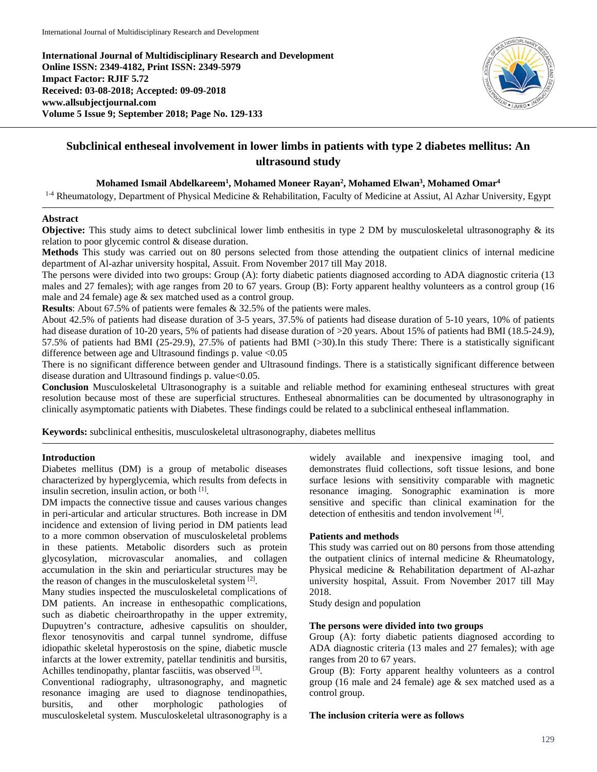**International Journal of Multidisciplinary Research and Development Online ISSN: 2349-4182, Print ISSN: 2349-5979 Impact Factor: RJIF 5.72 Received: 03-08-2018; Accepted: 09-09-2018 www.allsubjectjournal.com Volume 5 Issue 9; September 2018; Page No. 129-133**



# **Subclinical entheseal involvement in lower limbs in patients with type 2 diabetes mellitus: An ultrasound study**

# **Mohamed Ismail Abdelkareem1 , Mohamed Moneer Rayan2 , Mohamed Elwan3 , Mohamed Omar4**

<sup>1-4</sup> Rheumatology, Department of Physical Medicine & Rehabilitation, Faculty of Medicine at Assiut, Al Azhar University, Egypt

# **Abstract**

**Objective:** This study aims to detect subclinical lower limb enthesitis in type 2 DM by musculoskeletal ultrasonography & its relation to poor glycemic control & disease duration.

**Methods** This study was carried out on 80 persons selected from those attending the outpatient clinics of internal medicine department of Al-azhar university hospital, Assuit. From November 2017 till May 2018.

The persons were divided into two groups: Group (A): forty diabetic patients diagnosed according to ADA diagnostic criteria (13 males and 27 females); with age ranges from 20 to 67 years. Group (B): Forty apparent healthy volunteers as a control group (16 male and 24 female) age & sex matched used as a control group.

**Results**: About 67.5% of patients were females & 32.5% of the patients were males.

About 42.5% of patients had disease duration of 3-5 years, 37.5% of patients had disease duration of 5-10 years, 10% of patients had disease duration of 10-20 years, 5% of patients had disease duration of >20 years. About 15% of patients had BMI (18.5-24.9), 57.5% of patients had BMI (25-29.9), 27.5% of patients had BMI (>30).In this study There: There is a statistically significant difference between age and Ultrasound findings p. value <0.05

There is no significant difference between gender and Ultrasound findings. There is a statistically significant difference between disease duration and Ultrasound findings p. value<0.05.

**Conclusion** Musculoskeletal Ultrasonography is a suitable and reliable method for examining entheseal structures with great resolution because most of these are superficial structures. Entheseal abnormalities can be documented by ultrasonography in clinically asymptomatic patients with Diabetes. These findings could be related to a subclinical entheseal inflammation.

**Keywords:** subclinical enthesitis, musculoskeletal ultrasonography, diabetes mellitus

#### **Introduction**

Diabetes mellitus (DM) is a group of metabolic diseases characterized by hyperglycemia, which results from defects in insulin secretion, insulin action, or both [1].

DM impacts the connective tissue and causes various changes in peri-articular and articular structures. Both increase in DM incidence and extension of living period in DM patients lead to a more common observation of musculoskeletal problems in these patients. Metabolic disorders such as protein glycosylation, microvascular anomalies, and collagen accumulation in the skin and periarticular structures may be the reason of changes in the musculoskeletal system [2].

Many studies inspected the musculoskeletal complications of DM patients. An increase in enthesopathic complications, such as diabetic cheiroarthropathy in the upper extremity, Dupuytren's contracture, adhesive capsulitis on shoulder, flexor tenosynovitis and carpal tunnel syndrome, diffuse idiopathic skeletal hyperostosis on the spine, diabetic muscle infarcts at the lower extremity, patellar tendinitis and bursitis, Achilles tendinopathy, plantar fasciitis, was observed [3].

Conventional radiography, ultrasonography, and magnetic resonance imaging are used to diagnose tendinopathies, bursitis, and other morphologic pathologies of musculoskeletal system. Musculoskeletal ultrasonography is a widely available and inexpensive imaging tool, and demonstrates fluid collections, soft tissue lesions, and bone surface lesions with sensitivity comparable with magnetic resonance imaging. Sonographic examination is more sensitive and specific than clinical examination for the detection of enthesitis and tendon involvement [4].

# **Patients and methods**

This study was carried out on 80 persons from those attending the outpatient clinics of internal medicine & Rheumatology, Physical medicine & Rehabilitation department of Al-azhar university hospital, Assuit. From November 2017 till May 2018.

Study design and population

# **The persons were divided into two groups**

Group (A): forty diabetic patients diagnosed according to ADA diagnostic criteria (13 males and 27 females); with age ranges from 20 to 67 years.

Group (B): Forty apparent healthy volunteers as a control group (16 male and 24 female) age & sex matched used as a control group.

#### **The inclusion criteria were as follows**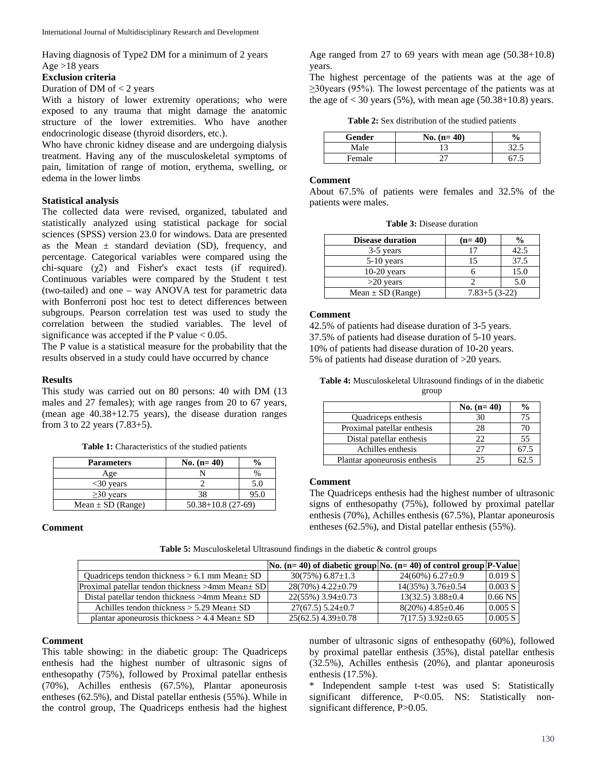Having diagnosis of Type2 DM for a minimum of 2 years Age >18 years

#### **Exclusion criteria**

#### Duration of DM of  $<$  2 years

With a history of lower extremity operations; who were exposed to any trauma that might damage the anatomic structure of the lower extremities. Who have another endocrinologic disease (thyroid disorders, etc.).

Who have chronic kidney disease and are undergoing dialysis treatment. Having any of the musculoskeletal symptoms of pain, limitation of range of motion, erythema, swelling, or edema in the lower limbs

## **Statistical analysis**

The collected data were revised, organized, tabulated and statistically analyzed using statistical package for social sciences (SPSS) version 23.0 for windows. Data are presented as the Mean  $\pm$  standard deviation (SD), frequency, and percentage. Categorical variables were compared using the chi-square  $(\chi^2)$  and Fisher's exact tests (if required). Continuous variables were compared by the Student t test (two-tailed) and one – way ANOVA test for parametric data with Bonferroni post hoc test to detect differences between subgroups. Pearson correlation test was used to study the correlation between the studied variables. The level of significance was accepted if the P value  $< 0.05$ .

The P value is a statistical measure for the probability that the results observed in a study could have occurred by chance

## **Results**

This study was carried out on 80 persons: 40 with DM (13 males and 27 females); with age ranges from 20 to 67 years, (mean age 40.38+12.75 years), the disease duration ranges from 3 to 22 years (7.83+5).

Table 1: Characteristics of the studied patients

| <b>Parameters</b>     | No. $(n=40)$           | $\frac{0}{0}$ |  |
|-----------------------|------------------------|---------------|--|
| Age                   |                        | $\%$          |  |
| $<$ 30 years          |                        | 5.0           |  |
| $\geq$ 30 years       | 38                     | 95.0          |  |
| Mean $\pm$ SD (Range) | $50.38 + 10.8$ (27-69) |               |  |

## **Comment**

Age ranged from 27 to 69 years with mean age (50.38+10.8) years.

The highest percentage of the patients was at the age of ≥30years (95%). The lowest percentage of the patients was at the age of  $<$  30 years (5%), with mean age (50.38+10.8) years.

**Table 2:** Sex distribution of the studied patients

| Gender | No. $(n=40)$ | $\mathbf{0}_{\alpha}$ |
|--------|--------------|-----------------------|
| Male   |              |                       |
| Female |              |                       |

### **Comment**

About 67.5% of patients were females and 32.5% of the patients were males.

| <b>Disease duration</b> | $(n=40)$         |      |
|-------------------------|------------------|------|
| 3-5 years               | 17               | 42.5 |
| $5-10$ years            | 15               | 37.5 |
| $10-20$ years           |                  | 15.0 |
| $>20$ years             |                  | 5.0  |
| Mean $\pm$ SD (Range)   | $7.83 + 5(3-22)$ |      |

#### **Comment**

42.5% of patients had disease duration of 3-5 years. 37.5% of patients had disease duration of 5-10 years. 10% of patients had disease duration of 10-20 years. 5% of patients had disease duration of >20 years.

| <b>Table 4:</b> Musculoskeletal Ultrasound findings of in the diabetic |       |  |  |
|------------------------------------------------------------------------|-------|--|--|
|                                                                        | group |  |  |

|                              | No. $(n=40)$ | $\frac{6}{9}$ |
|------------------------------|--------------|---------------|
| Quadriceps enthesis          | 30           |               |
| Proximal patellar enthesis   | 28           | 70            |
| Distal patellar enthesis     | つつ           | 55            |
| Achilles enthesis            | 27           | 67.5          |
| Plantar aponeurosis enthesis | 25           |               |

### **Comment**

The Quadriceps enthesis had the highest number of ultrasonic signs of enthesopathy (75%), followed by proximal patellar enthesis (70%), Achilles enthesis (67.5%), Plantar aponeurosis entheses (62.5%), and Distal patellar enthesis (55%).

**Table 5:** Musculoskeletal Ultrasound findings in the diabetic & control groups

|                                                        | $\vert$ No. (n= 40) of diabetic group $\vert$ No. (n= 40) of control group $\vert$ P-Value |                           |           |
|--------------------------------------------------------|--------------------------------------------------------------------------------------------|---------------------------|-----------|
| Quadriceps tendon thickness $> 6.1$ mm Mean $\pm$ SD   | $30(75\%)$ 6.87 $\pm$ 1.3                                                                  | $24(60\%) 6.27\pm0.9$     | 0.019 S   |
| Proximal patellar tendon thickness >4mm Mean+ SD       | 28(70%) 4.22±0.79                                                                          | 14(35%) 3.76±0.54         | 0.003 S   |
| Distal patellar tendon thickness $>4$ mm Mean $\pm$ SD | $22(55\%)$ 3.94 $\pm$ 0.73                                                                 | $13(32.5)$ 3.88 $\pm$ 0.4 | $0.66$ NS |
| Achilles tendon thickness $> 5.29$ Mean $\pm$ SD       | $27(67.5)$ 5.24 $\pm$ 0.7                                                                  | $8(20\%)$ 4.85 $\pm$ 0.46 | 0.005 S   |
| plantar aponeurosis thickness $> 4.4$ Mean $\pm$ SD    | $25(62.5)$ 4.39 $\pm$ 0.78                                                                 | $7(17.5)$ 3.92 $\pm$ 0.65 | 0.005 S   |

## **Comment**

This table showing: in the diabetic group: The Quadriceps enthesis had the highest number of ultrasonic signs of enthesopathy (75%), followed by Proximal patellar enthesis (70%), Achilles enthesis (67.5%), Plantar aponeurosis entheses (62.5%), and Distal patellar enthesis (55%). While in the control group, The Quadriceps enthesis had the highest

number of ultrasonic signs of enthesopathy (60%), followed by proximal patellar enthesis (35%), distal patellar enthesis (32.5%), Achilles enthesis (20%), and plantar aponeurosis enthesis (17.5%).

\* Independent sample t-test was used S: Statistically significant difference, P<0.05. NS: Statistically nonsignificant difference, P>0.05.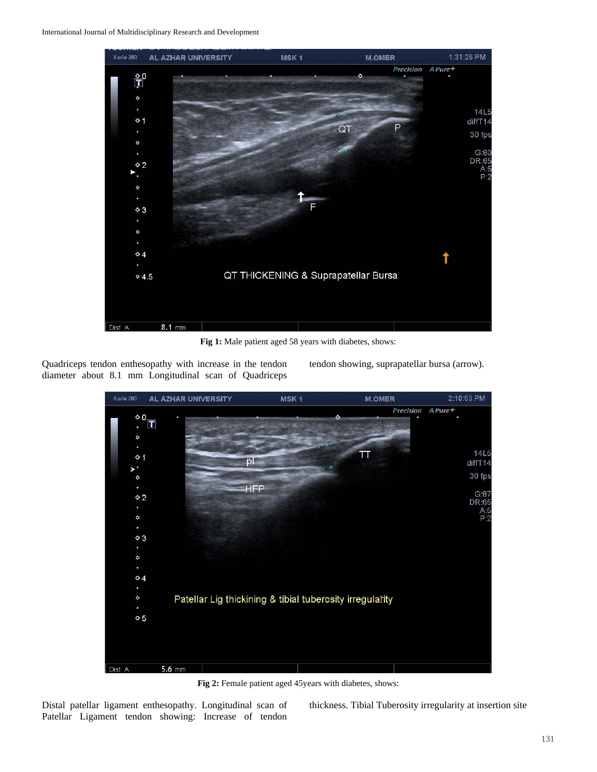

**Fig 1:** Male patient aged 58 years with diabetes, shows:

Quadriceps tendon enthesopathy with increase in the tendon diameter about 8.1 mm Longitudinal scan of Quadriceps tendon showing, suprapatellar bursa (arrow).



Fig 2: Female patient aged 45 years with diabetes, shows:

Distal patellar ligament enthesopathy. Longitudinal scan of Patellar Ligament tendon showing: Increase of tendon

thickness. Tibial Tuberosity irregularity at insertion site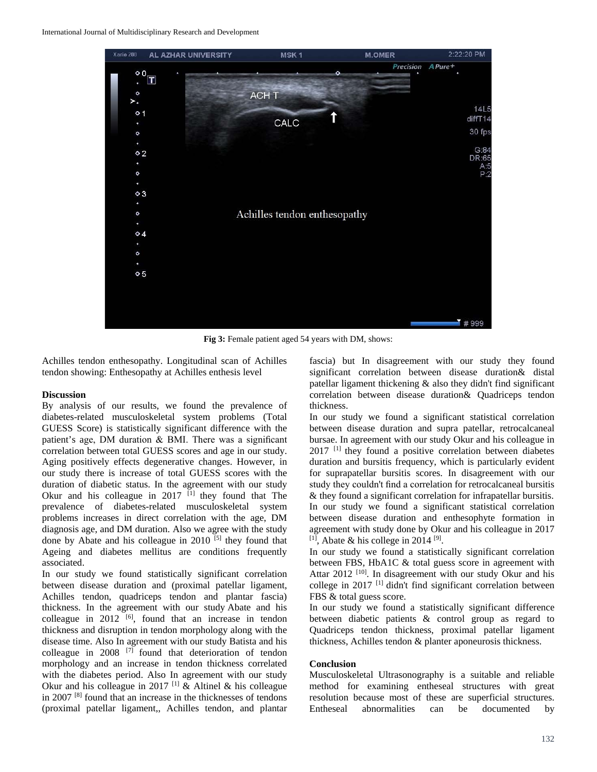

**Fig 3:** Female patient aged 54 years with DM, shows:

Achilles tendon enthesopathy. Longitudinal scan of Achilles tendon showing: Enthesopathy at Achilles enthesis level

## **Discussion**

By analysis of our results, we found the prevalence of diabetes-related musculoskeletal system problems (Total GUESS Score) is statistically significant difference with the patient's age, DM duration & BMI. There was a significant correlation between total GUESS scores and age in our study. Aging positively effects degenerative changes. However, in our study there is increase of total GUESS scores with the duration of diabetic status. In the agreement with our study Okur and his colleague in  $2017$  <sup>[1]</sup> they found that The prevalence of diabetes-related musculoskeletal system problems increases in direct correlation with the age, DM diagnosis age, and DM duration. Also we agree with the study done by Abate and his colleague in  $2010$ <sup>[5]</sup> they found that Ageing and diabetes mellitus are conditions frequently associated.

In our study we found statistically significant correlation between disease duration and (proximal patellar ligament, Achilles tendon, quadriceps tendon and plantar fascia) thickness. In the agreement with our study Abate and his colleague in  $2012$ <sup>[6]</sup>, found that an increase in tendon thickness and disruption in tendon morphology along with the disease time. Also In agreement with our study Batista and his colleague in 2008<sup>[7]</sup> found that deterioration of tendon morphology and an increase in tendon thickness correlated with the diabetes period. Also In agreement with our study Okur and his colleague in 2017 <sup>[1]</sup>  $\&$  Altinel  $\&$  his colleague in 2007 [8] found that an increase in the thicknesses of tendons (proximal patellar ligament,, Achilles tendon, and plantar

fascia) but In disagreement with our study they found significant correlation between disease duration& distal patellar ligament thickening & also they didn't find significant correlation between disease duration& Quadriceps tendon thickness.

In our study we found a significant statistical correlation between disease duration and supra patellar, retrocalcaneal bursae. In agreement with our study Okur and his colleague in 2017<sup>[1]</sup> they found a positive correlation between diabetes duration and bursitis frequency, which is particularly evident for suprapatellar bursitis scores. In disagreement with our study they couldn't find a correlation for retrocalcaneal bursitis & they found a significant correlation for infrapatellar bursitis. In our study we found a significant statistical correlation between disease duration and enthesophyte formation in agreement with study done by Okur and his colleague in 2017  $[1]$ , Abate & his college in 2014  $[9]$ .

In our study we found a statistically significant correlation between FBS, HbA1C & total guess score in agreement with Attar 2012<sup>[10]</sup>. In disagreement with our study Okur and his college in 2017<sup>[1]</sup> didn't find significant correlation between FBS & total guess score.

In our study we found a statistically significant difference between diabetic patients & control group as regard to Quadriceps tendon thickness, proximal patellar ligament thickness, Achilles tendon & planter aponeurosis thickness.

#### **Conclusion**

Musculoskeletal Ultrasonography is a suitable and reliable method for examining entheseal structures with great resolution because most of these are superficial structures. Entheseal abnormalities can be documented by